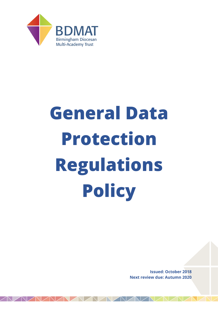

# **General Data Protection Regulations Policy**

**Issued: October 2018 Next review due: Autumn 2020**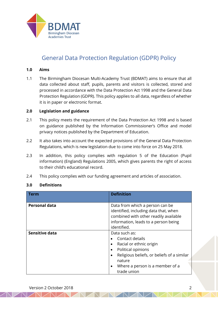

# General Data Protection Regulation (GDPR) Policy

#### **1.0 Aims**

1.1 The Birmingham Diocesan Multi-Academy Trust (BDMAT) aims to ensure that all data collected about staff, pupils, parents and visitors is collected, stored and processed in accordance with the Data Protection Act 1998 and the General Data Protection Regulation (GDPR). This policy applies to all data, regardless of whether it is in paper or electronic format.

## **2.0 Legislation and guidance**

- 2.1 This policy meets the requirement of the Data Protection Act 1998 and is based on guidance published by the Information Commissioner's Office and model privacy notices published by the Department of Education.
- 2.2 It also takes into account the expected provisions of the General Data Protection Regulations, which is new legislation due to come into force on 25 May 2018.
- 2.3 In addition, this policy complies with regulation 5 of the Education (Pupil information) (England) Regulations 2005, which gives parents the right of access to their child's educational record.
- 2.4 This policy complies with our funding agreement and articles of association.

#### **3.0 Definitions**

| Term                 | <b>Definition</b>                                                                                                                                                                                                                  |
|----------------------|------------------------------------------------------------------------------------------------------------------------------------------------------------------------------------------------------------------------------------|
| <b>Personal data</b> | Data from which a person can be<br>identified, including data that, when<br>combined with other readily available<br>information, leads to a person being<br>identified.                                                           |
| Sensitive data       | Data such as:<br>Contact details<br>Racial or ethnic origin<br>$\bullet$<br>Political opinions<br>Religious beliefs, or beliefs of a similar<br>$\bullet$<br>nature<br>Where a person is a member of a<br>$\bullet$<br>trade union |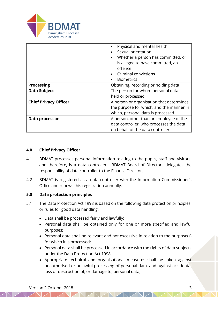

|                              | Physical and mental health<br>$\bullet$  |  |
|------------------------------|------------------------------------------|--|
|                              | Sexual orientation                       |  |
|                              | Whether a person has committed, or       |  |
|                              | is alleged to have committed, an         |  |
|                              | offence                                  |  |
|                              | Criminal convictions                     |  |
|                              | <b>Biometrics</b>                        |  |
| <b>Processing</b>            | Obtaining, recording or holding data     |  |
| <b>Data Subject</b>          | The person for whom personal data is     |  |
|                              | held or processed                        |  |
| <b>Chief Privacy Officer</b> | A person or organisation that determines |  |
|                              | the purpose for which, and the manner in |  |
|                              | which, personal data is processed        |  |
| Data processor               | A person, other than an employee of the  |  |
|                              | data controller, who processes the data  |  |
|                              | on behalf of the data controller         |  |

## **4.0 Chief Privacy Officer**

- 4.1 BDMAT processes personal information relating to the pupils, staff and visitors, and therefore, is a data controller. BDMAT Board of Directors delegates the responsibility of data controller to the Finance Director.
- 4.2 BDMAT is registered as a data controller with the Information Commissioner's Office and renews this registration annually.

#### **5.0 Data protection principles**

- 5.1 The Data Protection Act 1998 is based on the following data protection principles, or rules for good data handling:
	- Data shall be processed fairly and lawfully;
	- Personal data shall be obtained only for one or more specified and lawful purposes;
	- Personal data shall be relevant and not excessive in relation to the purpose(s) for which it is processed;
	- Personal data shall be processed in accordance with the rights of data subjects under the Data Protection Act 1998;
	- Appropriate technical and organisational measures shall be taken against unauthorised or unlawful processing of personal data, and against accidental loss or destruction of, or damage to, personal data;

 $\triangle N$   $\triangle N$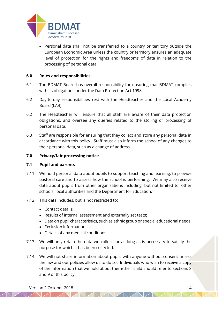

• Personal data shall not be transferred to a country or territory outside the European Economic Area unless the country or territory ensures an adequate level of protection for the rights and freedoms of data in relation to the processing of personal data.

### **6.0 Roles and responsibilities**

- 6.1 The BDMAT Board has overall responsibility for ensuring that BDMAT complies with its obligations under the Data Protection Act 1998.
- 6.2 Day-to-day responsibilities rest with the Headteacher and the Local Academy Board (LAB).
- 6.2 The Headteacher will ensure that all staff are aware of their data protection obligations, and oversee any queries related to the storing or processing of personal data.
- 6.3 Staff are responsible for ensuring that they collect and store any personal data in accordance with this policy. Staff must also inform the school of any changes to their personal data, such as a change of address.

### **7.0 Privacy/fair processing notice**

#### **7.1 Pupil and parents**

- 7.11 We hold personal data about pupils to support teaching and learning, to provide pastoral care and to assess how the school is performing. We may also receive data about pupils from other organisations including, but not limited to, other schools, local authorities and the Department for Education.
- 7.12 This data includes, but is not restricted to:
	- Contact details;
	- Results of internal assessment and externally set tests;
	- Data on pupil characteristics, such as ethnic group or special educational needs;
	- Exclusion information;
	- Details of any medical conditions.
- 7.13 We will only retain the data we collect for as long as is necessary to satisfy the purpose for which it has been collected.
- 7.14 We will not share information about pupils with anyone without consent unless the law and our policies allow us to do so. Individuals who wish to receive a copy of the information that we hold about them/their child should refer to sections 8 and 9 of this policy.

NAVAMAZ

NAMANZ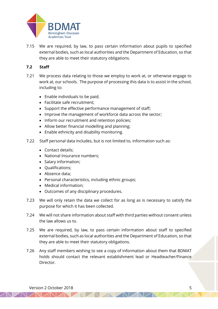

7.15 We are required, by law, to pass certain information about pupils to specified external bodies, such as local authorities and the Department of Education, so that they are able to meet their statutory obligations.

## **7.2 Staff**

- 7.21 We process data relating to those we employ to work at, or otherwise engage to work at, our schools. The purpose of processing this data is to assist in the school, including to:
	- Enable individuals to be paid;
	- Facilitate safe recruitment;
	- Support the effective performance management of staff;
	- Improve the management of workforce data across the sector;
	- Inform our recruitment and retention policies;
	- Allow better financial modelling and planning;
	- Enable ethnicity and disability monitoring.
- 7.22 Staff personal data includes, but is not limited to, information such as:
	- Contact details;
	- National Insurance numbers;
	- Salary information;
	- Qualifications;
	- Absence data;
	- Personal characteristics, including ethnic groups;
	- Medical information;
	- Outcomes of any disciplinary procedures.
- 7.23 We will only retain the data we collect for as long as is necessary to satisfy the purpose for which it has been collected.
- 7.24 We will not share information about staff with third parties without consent unless the law allows us to.
- 7.25 We are required, by law, to pass certain information about staff to specified external bodies, such as local authorities and the Department of Education, so that they are able to meet their statutory obligations.
- 7.26 Any staff members wishing to see a copy of information about them that BDMAT holds should contact the relevant establishment lead or Headteacher/Finance Director.

NAMAMAM

NAMA A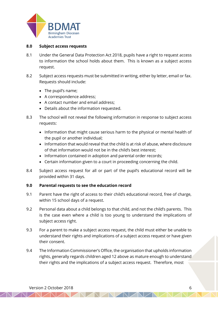

#### **8.0 Subject access requests**

- 8.1 Under the General Data Protection Act 2018, pupils have a right to request access to information the school holds about them. This is known as a subject access request.
- 8.2 Subject access requests must be submitted in writing, either by letter, email or fax. Requests should include:
	- The pupil's name;
	- A correspondence address;
	- A contact number and email address;
	- Details about the information requested.
- 8.3 The school will not reveal the following information in response to subject access requests:
	- Information that might cause serious harm to the physical or mental health of the pupil or another individual;
	- Information that would reveal that the child is at risk of abuse, where disclosure of that information would not be in the child's best interest;
	- Information contained in adoption and parental order records;
	- Certain information given to a court in proceeding concerning the child.
- 8.4 Subject access request for all or part of the pupil's educational record will be provided within 31 days.

## **9.0 Parental requests to see the education record**

- 9.1 Parent have the right of access to their child's educational record, free of charge, within 15 school days of a request.
- 9.2 Personal data about a child belongs to that child, and not the child's parents. This is the case even where a child is too young to understand the implications of subject access right.
- 9.3 For a parent to make a subject access request, the child must either be unable to understand their rights and implications of a subject access request or have given their consent.
- 9.4 The Information Commissioner's Office, the organisation that upholds information rights, generally regards children aged 12 above as mature enough to understand their rights and the implications of a subject access request. Therefore, most

NAMAMAM

AVA Z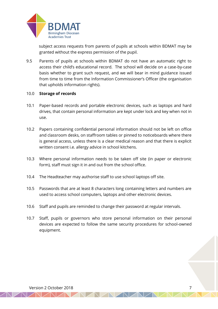

 subject access requests from parents of pupils at schools within BDMAT may be granted without the express permission of the pupil.

9.5 Parents of pupils at schools within BDMAT do not have an automatic right to access their child's educational record. The school will decide on a case-by-case basis whether to grant such request, and we will bear in mind guidance issued from time to time from the Information Commissioner's Officer (the organisation that upholds information rights).

#### 10.0 **Storage of records**

- 10.1 Paper-based records and portable electronic devices, such as laptops and hard drives, that contain personal information are kept under lock and key when not in use.
- 10.2 Papers containing confidential personal information should not be left on office and classroom desks, on staffroom tables or pinned to noticeboards where there is general access, unless there is a clear medical reason and that there is explicit written consent i.e. allergy advice in school kitchens.
- 10.3 Where personal information needs to be taken off site (in paper or electronic form), staff must sign it in and out from the school office.
- 10.4 The Headteacher may authorise staff to use school laptops off site.
- 10.5 Passwords that are at least 8 characters long containing letters and numbers are used to access school computers, laptops and other electronic devices.
- 10.6 Staff and pupils are reminded to change their password at regular intervals.
- 10.7 Staff, pupils or governors who store personal information on their personal devices are expected to follow the same security procedures for school-owned equipment.

NAMAMAD

NAMA D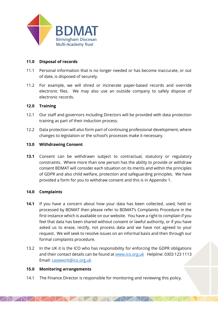

## **11.0 Disposal of records**

- 11.1 Personal information that is no longer needed or has become inaccurate, or out of date, is disposed of securely.
- 11.2 For example, we will shred or incinerate paper-based records and override electronic files. We may also use an outside company to safely dispose of electronic records.

## **12.0 Training**

- 12.1 Our staff and governors including Directors will be provided with data protection training as part of their induction process.
- 12.2 Data protection will also form part of continuing professional development, where changes to legislation or the school's processes make it necessary.

## **13.0 Withdrawing Consent**

**13.1** Consent can be withdrawn subject to contractual, statutory or regulatory constraints. Where more than one person has the ability to provide or withdraw consent BDMAT will consider each situation on its merits and within the principles of GDPR and also child welfare, protection and safeguarding principles. We have provided a form for you to withdraw consent and this is in Appendix 1.

## **14.0 Complaints**

- **14.1** If you have a concern about how your data has been collected, used, held or processed by BDMAT then please refer to BDMAT's Complaints Procedure in the first instance which is available on our website. You have a right to complain if you feel that data has been shared without consent or lawful authority, or if you have asked us to erase, rectify, not process data and we have not agreed to your request. We will seek to resolve issues on an informal basis and then through our formal complaints procedure.
- 13.2 In the UK it is the ICO who has responsibility for enforcing the GDPR obligations and their contact details can be found a[t www.ico.org.uk](http://www.ico.org.uk/) Helpline: 0303 123 1113 Email: [casework@ico.org.uk](mailto:casework@ico.org.uk)

AVNAZNA

## **15.0 Monitoring arrangements**

14.1 The Finance Director is responsible for monitoring and reviewing this policy.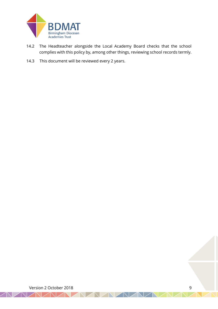

- 14.2 The Headteacher alongside the Local Academy Board checks that the school complies with this policy by, among other things, reviewing school records termly.
- 14.3 This document will be reviewed every 2 years.

Version 2 October 2018 **9** 

 $\Box$ 

 $\sqrt{N}$ 

 $\mathbb{N}$   $\mathbb{Z}$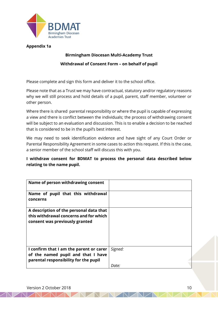

## **Appendix 1a**

## **Birmingham Diocesan Multi-Academy Trust Withdrawal of Consent Form – on behalf of pupil**

Please complete and sign this form and deliver it to the school office.

Please note that as a Trust we may have contractual, statutory and/or regulatory reasons why we will still process and hold details of a pupil, parent, staff member, volunteer or other person.

Where there is shared parental responsibility or where the pupil is capable of expressing a view and there is conflict between the individuals; the process of withdrawing consent will be subject to an evaluation and discussion. This is to enable a decision to be reached that is considered to be in the pupil's best interest.

We may need to seek identification evidence and have sight of any Court Order or Parental Responsibility Agreement in some cases to action this request. If this is the case, a senior member of the school staff will discuss this with you.

## **I withdraw consent for BDMAT to process the personal data described below relating to the name pupil.**

| Name of person withdrawing consent                                                                                     |         |
|------------------------------------------------------------------------------------------------------------------------|---------|
| Name of pupil that this withdrawal<br>concerns                                                                         |         |
| A description of the personal data that<br>this withdrawal concerns and for which<br>consent was previously granted    |         |
| I confirm that I am the parent or carer<br>of the named pupil and that I have<br>parental responsibility for the pupil | Signed: |
|                                                                                                                        | Date:   |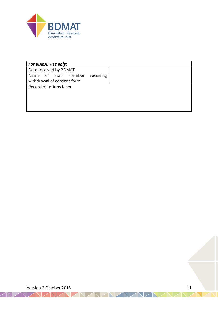

| <b>For BDMAT use only:</b>        |  |
|-----------------------------------|--|
| Date received by BDMAT            |  |
| Name of staff member<br>receiving |  |
| withdrawal of consent form        |  |
| Record of actions taken           |  |
|                                   |  |
|                                   |  |
|                                   |  |
|                                   |  |

NAVAVAVAVA

Version 2 October 2018 11

VAZNAZ

 $\angle$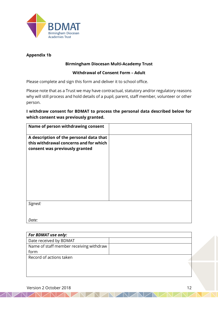

## **Appendix 1b**

## **Birmingham Diocesan Multi-Academy Trust**

## **Withdrawal of Consent Form – Adult**

Please complete and sign this form and deliver it to school office.

Please note that as a Trust we may have contractual, statutory and/or regulatory reasons why will still process and hold details of a pupil, parent, staff member, volunteer or other person.

## **I withdraw consent for BDMAT to process the personal data described below for which consent was previously granted.**

| Name of person withdrawing consent                                                                                  |  |
|---------------------------------------------------------------------------------------------------------------------|--|
| A description of the personal data that<br>this withdrawal concerns and for which<br>consent was previously granted |  |
| Signed:                                                                                                             |  |
|                                                                                                                     |  |
| Date:                                                                                                               |  |

| <b>For BDMAT use only:</b>              |  |
|-----------------------------------------|--|
| Date received by BDMAT                  |  |
| Name of staff member receiving withdraw |  |
| form                                    |  |
| Record of actions taken                 |  |
|                                         |  |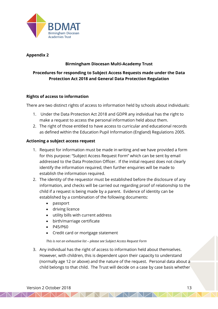

## **Appendix 2**

## **Birmingham Diocesan Multi-Academy Trust**

## **Procedures for responding to Subject Access Requests made under the Data Protection Act 2018 and General Data Protection Regulation**

## **Rights of access to information**

There are two distinct rights of access to information held by schools about individuals:

- 1. Under the Data Protection Act 2018 and GDPR any individual has the right to make a request to access the personal information held about them.
- 2. The right of those entitled to have access to curricular and educational records as defined within the Education Pupil Information (England) Regulations 2005.

## **Actioning a subject access request**

- 1. Request for information must be made in writing and we have provided a form for this purpose: "Subject Access Request Form" which can be sent by email addressed to the Data Protection Officer. If the initial request does not clearly identify the information required, then further enquiries will be made to establish the information required.
- 2. The identity of the requestor must be established before the disclosure of any information, and checks will be carried out regarding proof of relationship to the child if a request is being made by a parent. Evidence of identity can be established by a combination of the following documents:
	- passport
	- driving licence
	- utility bills with current address
	- birth/marriage certificate
	- P45/P60
	- Credit card or mortgage statement

#### *This is not an exhaustive list – please see Subject Access Request Form*

3. Any individual has the right of access to information held about themselves. However, with children, this is dependent upon their capacity to understand (normally age 12 or above) and the nature of the request. Personal data about a child belongs to that child. The Trust will decide on a case by case basis whether

NAMAMAZ

 $\triangle N$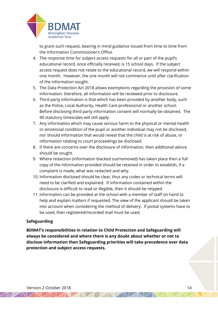

to grant such request, bearing in mind guidance issued from time to time from the Information Commissioner's Office.

- 4. The response time for subject access requests for all or part of the pupil's educational record, once officially received, is 15 school days. If the subject access request does not relate to the educational record, we will respond within one month. However, the one month will not commence until after clarification of the information sought.
- 5. The Data Protection Act 2018 allows exemptions regarding the provision of some information: therefore, all information will be reviewed prior to disclosure.
- 6. Third party information is that which has been provided by another body, such as the Police, Local Authority, Health Care professional or another school. Before disclosing third party information consent will normally be obtained. The 40 statutory timescales will still apply.
- 7. Any information which may cause serious harm to the physical or mental health or emotional condition of the pupil or another individual may not be disclosed, nor should information that would reveal that the child is at risk of abuse, or information relating to court proceedings be disclosed.
- 8. If there are concerns over the disclosure of information, then additional advice should be sought.
- 9. Where redaction (information blacked out/removed) has taken place then a full copy of the information provided should be retained in order to establish, if a complaint is made, what was redacted and why.
- 10. Information disclosed should be clear, thus any codes or technical terms will need to be clarified and explained. If information contained within the disclosure is difficult to read or illegible, then it should be retyped.
- 11. Information can be provided at the school with a member of staff on hand to help and explain matters if requested. The view of the applicant should be taken into account when considering the method of delivery. If postal systems have to be used, then registered/recorded mail must be used.

## **Safeguarding**

**BDMAT's responsibilities in relation to Child Protection and Safeguarding will always be considered and where there is any doubt about whether or not to disclose information then Safeguarding priorities will take precedence over data protection and subject access requests.**

NAMAMAM

 $\triangle N$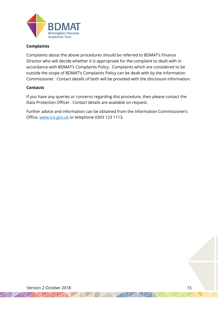

## **Complaints**

Complaints about the above procedures should be referred to BDMAT's Finance Director who will decide whether it is appropriate for the complaint to dealt with in accordance with BDMAT's Complaints Policy. Complaints which are considered to be outside the scope of BDMAT's Complaints Policy can be dealt with by the Information Commissioner. Contact details of both will be provided with the disclosure information.

#### **Contacts**

If you have any queries or concerns regarding this procedure, then please contact the Data Protection Officer. Contact details are available on request.

Further advice and information can be obtained from the Information Commissioner's Office, [www.ico.gov.uk](http://www.ico.gov.uk/) or telephone 0303 123 1113.

 $\sqrt{N}$   $\sqrt{N}$ 

Version 2 October 2018 15

 $\sqrt{N}$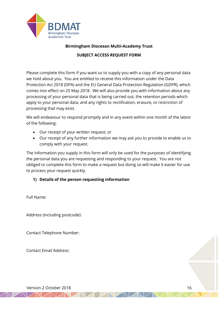

## **Birmingham Diocesan Multi-Academy Trust**

## **SUBJECT ACCESS REQUEST FORM**

Please complete this form if you want us to supply you with a copy of any personal data we hold about you. You are entitled to receive this information under the Data Protection Act 2018 (DPA) and the EU General Data Protection Regulation (GDPR), which comes into effect on 25 May 2018. We will also provide you with information about any processing of your personal data that is being carried out, the retention periods which apply to your personal data, and any rights to rectification, erasure, or restriction of processing that may exist.

We will endeavour to respond promptly and in any event within one month of the latest of the following:

- Our receipt of your written request; or
- Our receipt of any further information we may ask you to provide to enable us to comply with your request.

The information you supply in this form will only be used for the purposes of identifying the personal data you are requesting and responding to your request. You are not obliged to complete this form to make a request but doing so will make it easier for use to process your request quickly.

NAMAZ

## **1) Details of the person requesting information**

Full Name:

Address (including postcode):

Contact Telephone Number:

Contact Email Address:

Version 2 October 2018 16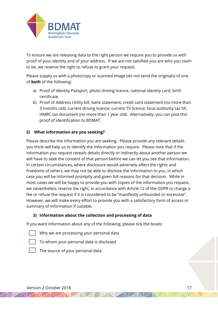

To ensure we are releasing data to the right person we require you to provide us with proof of your identity and of your address. If we are not satisfied you are who you claim to be, we reserve the right to refuse to grant your request.

Please supply us with a photocopy or scanned image (do not send the originals) of one of **both** of the following:

- a) Proof of Identity Passport, photo driving licence, national identity card, birth certificate.
- b) Proof of Address Utility bill, bank statement, credit card statement (no more than 3 months old); current driving licence; current TV licence; local authority tax till, HMRC tax document (no more than 1 year old). Alternatively, you can post this proof of identification to BDMAT.

## **2) What information are you seeking?**

Please describe the information you are seeking. Please provide any relevant details you think will help us to identify the information you require. Please note that if the information you request reveals details directly or indirectly about another person we will have to seek the consent of that person before we can let you see that information. In certain circumstances, where disclosure would adversely affect the rights and freedoms of others, we may not be able to disclose the information to you, in which case you will be informed promptly and given full reasons for that decision. While in most cases we will be happy to provide you with copies of the information you request, we nevertheless reserve the right, in accordance with Article 12 of the GDPR to charge a fee or refuse the request if it is considered to be "manifestly unfounded or excessive". However, we will make every effort to provide you with a satisfactory form of access or summary of information if suitable.

NAMAMAD

## **3) Information about the collection and processing of data**

If you want information about any of the following, please tick the boxes:

- Why we are processing your personal data
- To whom your personal data is disclosed



The source of your personal data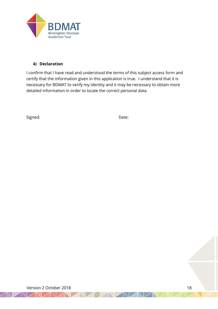

## **4) Declaration**

I confirm that I have read and understood the terms of this subject access form and certify that the information given in this application is true. I understand that it is necessary for BDMAT to verify my identity and it may be necessary to obtain more detailed information in order to locate the correct personal data.

Signed: Date:

Version 2 October 2018 18

NAIZN.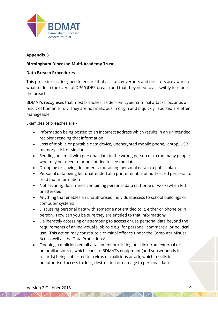

## **Appendix 3**

## **Birmingham Diocesan Multi-Academy Trust**

### **Data Breach Procedures**

This procedure is designed to ensure that all staff, governors and directors are aware of what to do in the event of DPA/GDPR breach and that they need to act swiftly to report the breach.

BDMAT's recognises that most breaches, aside from cyber criminal attacks, occur as a result of human error. They are not malicious in origin and if quickly reported are often manageable.

Examples of breaches are:-

- Information being posted to an incorrect address which results in an unintended recipient reading that information
- Loss of mobile or portable data device, unencrypted mobile phone, laptop, USB memory stick or similar
- Sending an email with personal data to the wrong person or to too many people who may not need to or be entitled to see the data
- Dropping or leaving documents containing personal data in a public place.
- Personal data being left unattended at a printer enable unauthorised personal to read that information
- Not securing documents containing personal data (at home or work) when left unattended
- Anything that enables an unauthorised individual access to school buildings or computer systems
- Discussing personal data with someone not entitled to it, either or phone or in person. How can you be sure they are entitled to that information?
- Deliberately accessing or attempting to access or use personal data beyond the requirements of an individual's job role e.g. for personal, commercial or political use. This action may constitute a criminal offence under the Computer Misuse Act as well as the Data Protection Act.
- Opening a malicious email attachment or clicking on a link from external or unfamiliar source, which leads to BDMAT's equipment (and subsequently its records) being subjected to a virus or malicious attack, which results in unauthorised access to, loss, destruction or damage to personal data.

NAMAMAM

 $\triangle N$  $\triangle N$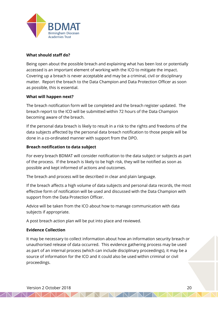

## **What should staff do?**

Being open about the possible breach and explaining what has been lost or potentially accessed is an important element of working with the ICO to mitigate the impact. Covering up a breach is never acceptable and may be a criminal, civil or disciplinary matter. Report the breach to the Data Champion and Data Protection Officer as soon as possible, this is essential.

#### **What will happen next?**

The breach notification form will be completed and the breach register updated. The breach report to the ICO will be submitted within 72 hours of the Data Champion becoming aware of the breach.

If the personal data breach is likely to result in a risk to the rights and freedoms of the data subjects affected by the personal data breach notification to those people will be done in a co-ordinated manner with support from the DPO.

#### **Breach notification to data subject**

For every breach BDMAT will consider notification to the data subject or subjects as part of the process. If the breach is likely to be high risk, they will be notified as soon as possible and kept informed of actions and outcomes.

The breach and process will be described in clear and plain language.

If the breach affects a high volume of data subjects and personal data records, the most effective form of notification will be used and discussed with the Data Champion with support from the Data Protection Officer.

Advice will be taken from the ICO about how to manage communication with data subjects if appropriate.

A post breach action plan will be put into place and reviewed.

#### **Evidence Collection**

It may be necessary to collect information about how an information security breach or unauthorised release of data occurred. This evidence gathering process may be used as part of an internal process (which can include disciplinary proceedings), it may be a source of information for the ICO and it could also be used within criminal or civil proceedings.

NAMAMAD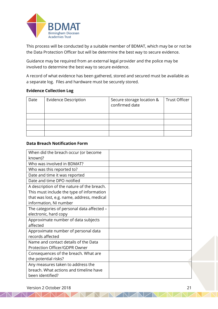

This process will be conducted by a suitable member of BDMAT, which may be or not be the Data Protection Officer but will be determine the best way to secure evidence.

Guidance may be required from an external legal provider and the police may be involved to determine the best way to secure evidence.

A record of what evidence has been gathered, stored and secured must be available as a separate log. Files and hardware must be securely stored.

## **Evidence Collection Log**

| Date | <b>Evidence Description</b> | Secure storage location &<br>confirmed date | <b>Trust Officer</b> |
|------|-----------------------------|---------------------------------------------|----------------------|
|      |                             |                                             |                      |
|      |                             |                                             |                      |
|      |                             |                                             |                      |
|      |                             |                                             |                      |

## **Data Breach Notification Form**

| When did the breach occur (or become       |  |
|--------------------------------------------|--|
| known)?                                    |  |
| Who was involved in BDMAT?                 |  |
| Who was this reported to?                  |  |
| Date and time it was reported              |  |
| Date and time DPO notified                 |  |
| A description of the nature of the breach. |  |
| This must include the type of information  |  |
| that was lost, e.g. name, address, medical |  |
| information, NI number                     |  |
| The categories of personal data affected - |  |
| electronic, hard copy                      |  |
| Approximate number of data subjects        |  |
| affected                                   |  |
| Approximate number of personal data        |  |
| records affected                           |  |
| Name and contact details of the Data       |  |
| Protection Officer/GDPR Owner              |  |
| Consequences of the breach. What are       |  |
| the potential risks?                       |  |
| Any measures taken to address the          |  |
| breach. What actions and timeline have     |  |
| been identified?                           |  |

NAMAMAMAN A

Version 2 October 2018 21

AVAI AV